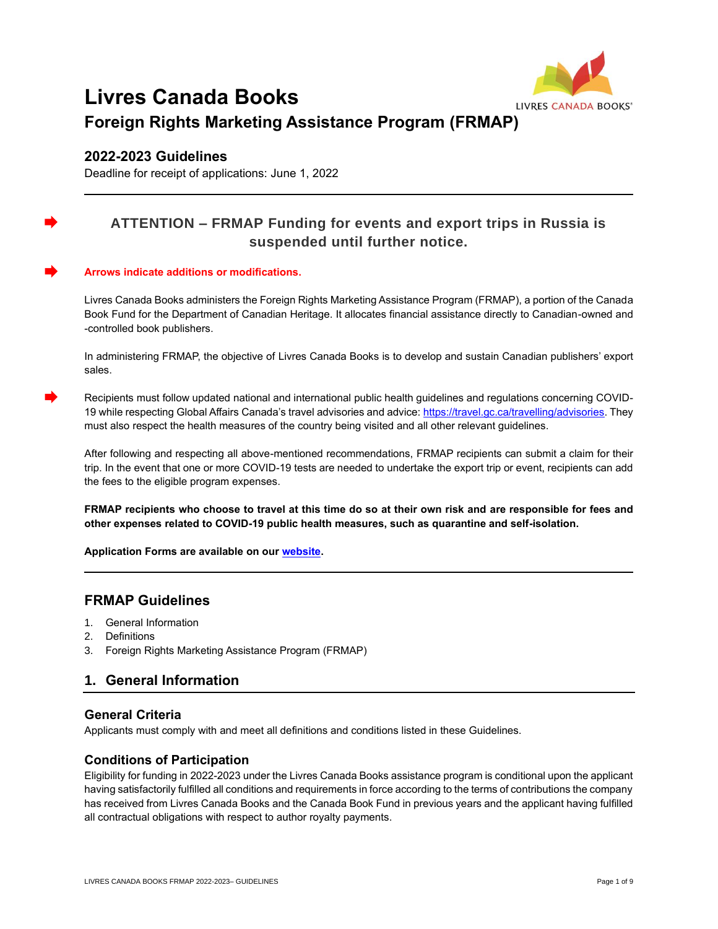

# **Livres Canada Books Foreign Rights Marketing Assistance Program (FRMAP)**

## **2022-2023 Guidelines**

Deadline for receipt of applications: June 1, 2022

## **ATTENTION – FRMAP Funding for events and export trips in Russia is suspended until further notice.**

#### **Arrows indicate additions or modifications.**

Livres Canada Books administers the Foreign Rights Marketing Assistance Program (FRMAP), a portion of the Canada Book Fund for the Department of Canadian Heritage. It allocates financial assistance directly to Canadian-owned and -controlled book publishers.

In administering FRMAP, the objective of Livres Canada Books is to develop and sustain Canadian publishers' export sales.

Recipients must follow updated national and international public health guidelines and regulations concerning COVID19 while respecting Global Affairs Canada's travel advisories and advice: [https://travel.gc.ca/travelling/advisories.](https://travel.gc.ca/travelling/advisories) They must also respect the health measures of the country being visited and all other relevant guidelines.

After following and respecting all above-mentioned recommendations, FRMAP recipients can submit a claim for their trip. In the event that one or more COVID-19 tests are needed to undertake the export trip or event, recipients can add the fees to the eligible program expenses.

**FRMAP recipients who choose to travel at this time do so at their own risk and are responsible for fees and other expenses related to COVID-19 public health measures, such as quarantine and self-isolation.** 

**Application Forms are available on ou[r website.](https://www.livrescanadabooks.com/Funding/Foreign-Rights-Marketing-Assistance-Program-FRMAP)**

## **FRMAP Guidelines**

- 1. General Information
- 2. Definitions
- 3. Foreign Rights Marketing Assistance Program (FRMAP)

## **1. General Information**

## **General Criteria**

Applicants must comply with and meet all definitions and conditions listed in these Guidelines.

#### **Conditions of Participation**

Eligibility for funding in 2022-2023 under the Livres Canada Books assistance program is conditional upon the applicant having satisfactorily fulfilled all conditions and requirements in force according to the terms of contributions the company has received from Livres Canada Books and the Canada Book Fund in previous years and the applicant having fulfilled all contractual obligations with respect to author royalty payments.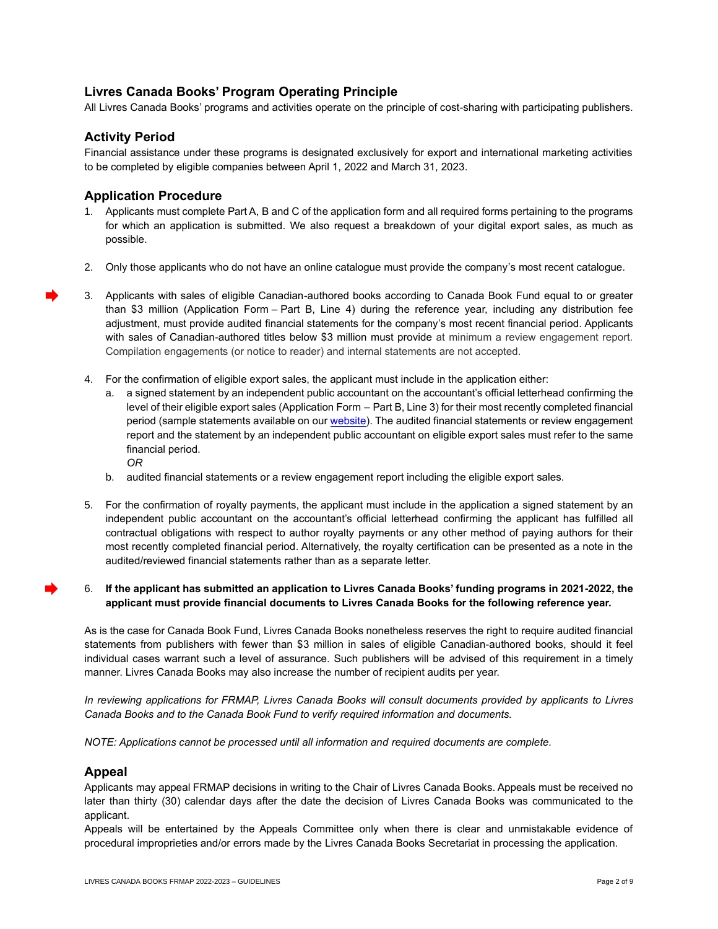## **Livres Canada Books' Program Operating Principle**

All Livres Canada Books' programs and activities operate on the principle of cost-sharing with participating publishers.

### **Activity Period**

Financial assistance under these programs is designated exclusively for export and international marketing activities to be completed by eligible companies between April 1, 2022 and March 31, 2023.

### **Application Procedure**

- 1. Applicants must complete Part A, B and C of the application form and all required forms pertaining to the programs for which an application is submitted. We also request a breakdown of your digital export sales, as much as possible.
- 2. Only those applicants who do not have an online catalogue must provide the company's most recent catalogue.
- 3. Applicants with sales of eligible Canadian-authored books according to Canada Book Fund equal to or greater than \$3 million (Application Form – Part B, Line 4) during the reference year, including any distribution fee adjustment, must provide audited financial statements for the company's most recent financial period. Applicants with sales of Canadian-authored titles below \$3 million must provide at minimum a review engagement report. Compilation engagements (or notice to reader) and internal statements are not accepted.
	- 4. For the confirmation of eligible export sales, the applicant must include in the application either:
		- a. a signed statement by an independent public accountant on the accountant's official letterhead confirming the level of their eligible export sales (Application Form – Part B, Line 3) for their most recently completed financial period (sample statements available on ou[r website\)](https://www.livrescanadabooks.com/Funding/Foreign-Rights-Marketing-Assistance-Program-FRMAP). The audited financial statements or review engagement report and the statement by an independent public accountant on eligible export sales must refer to the same financial period. *OR*
		- b. audited financial statements or a review engagement report including the eligible export sales.
	- 5. For the confirmation of royalty payments, the applicant must include in the application a signed statement by an independent public accountant on the accountant's official letterhead confirming the applicant has fulfilled all contractual obligations with respect to author royalty payments or any other method of paying authors for their most recently completed financial period. Alternatively, the royalty certification can be presented as a note in the audited/reviewed financial statements rather than as a separate letter.

#### 6. **If the applicant has submitted an application to Livres Canada Books' funding programs in 2021-2022, the applicant must provide financial documents to Livres Canada Books for the following reference year.**

As is the case for Canada Book Fund, Livres Canada Books nonetheless reserves the right to require audited financial statements from publishers with fewer than \$3 million in sales of eligible Canadian-authored books, should it feel individual cases warrant such a level of assurance. Such publishers will be advised of this requirement in a timely manner. Livres Canada Books may also increase the number of recipient audits per year.

*In reviewing applications for FRMAP, Livres Canada Books will consult documents provided by applicants to Livres Canada Books and to the Canada Book Fund to verify required information and documents.*

*NOTE: Applications cannot be processed until all information and required documents are complete.*

#### **Appeal**

Applicants may appeal FRMAP decisions in writing to the Chair of Livres Canada Books. Appeals must be received no later than thirty (30) calendar days after the date the decision of Livres Canada Books was communicated to the applicant.

Appeals will be entertained by the Appeals Committee only when there is clear and unmistakable evidence of procedural improprieties and/or errors made by the Livres Canada Books Secretariat in processing the application.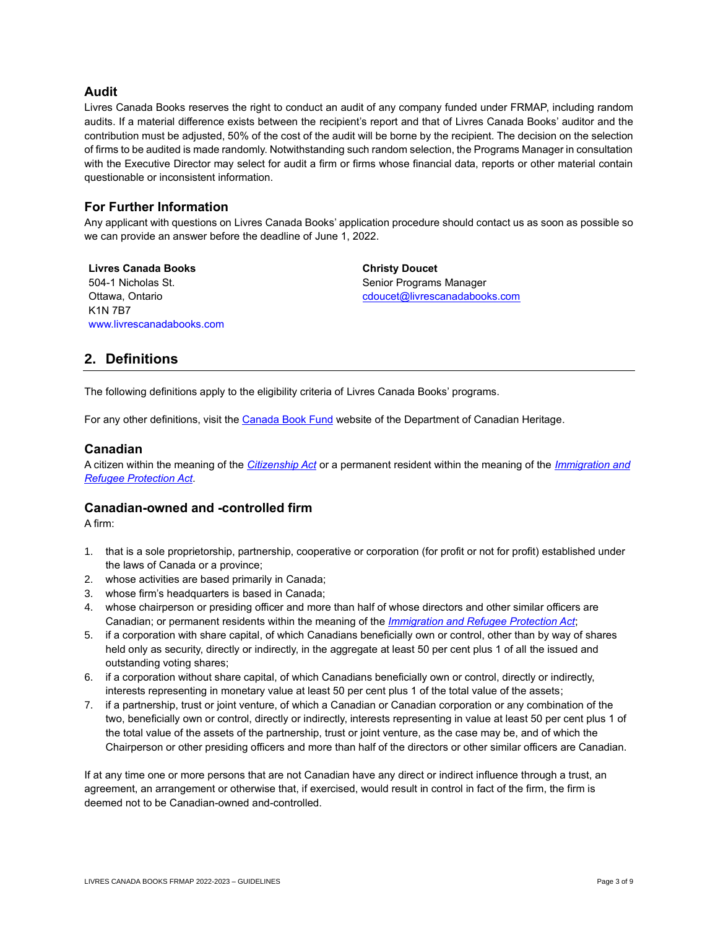### **Audit**

Livres Canada Books reserves the right to conduct an audit of any company funded under FRMAP, including random audits. If a material difference exists between the recipient's report and that of Livres Canada Books' auditor and the contribution must be adjusted, 50% of the cost of the audit will be borne by the recipient. The decision on the selection of firms to be audited is made randomly. Notwithstanding such random selection, the Programs Manager in consultation with the Executive Director may select for audit a firm or firms whose financial data, reports or other material contain questionable or inconsistent information.

### **For Further Information**

Any applicant with questions on Livres Canada Books' application procedure should contact us as soon as possible so we can provide an answer before the deadline of June 1, 2022.

**Livres Canada Books** 504-1 Nicholas St. Ottawa, Ontario K1N 7B7 [www.livrescanadabooks.com](http://www.livrescanadabooks.com/en/) **Christy Doucet** Senior Programs Manager [cdoucet@livrescanadabooks.com](mailto:cdoucet@livrescanadabooks.com)

## **2. Definitions**

The following definitions apply to the eligibility criteria of Livres Canada Books' programs.

For any other definitions, visit th[e Canada Book Fund](https://www.canada.ca/en/canadian-heritage/services/funding/book-fund/publishing-support/application-guidelines.html#a22) website of the Department of Canadian Heritage.

#### **Canadian**

A citizen within the meaning of the *[Citizenship Act](https://laws-lois.justice.gc.ca/eng/acts/C-29/index.html)* or a permanent resident within the meaning of the *[Immigration and](https://laws.justice.gc.ca/eng/acts/I-2.5/index.html)  [Refugee Protection Act](https://laws.justice.gc.ca/eng/acts/I-2.5/index.html)*.

#### **Canadian-owned and -controlled firm**

A firm:

- 1. that is a sole proprietorship, partnership, cooperative or corporation (for profit or not for profit) established under the laws of Canada or a province;
- 2. whose activities are based primarily in Canada;
- 3. whose firm's headquarters is based in Canada;
- 4. whose chairperson or presiding officer and more than half of whose directors and other similar officers are Canadian; or permanent residents within the meaning of the *[Immigration and Refugee Protection Act](https://laws.justice.gc.ca/eng/acts/I-2.5/index.html)*;
- 5. if a corporation with share capital, of which Canadians beneficially own or control, other than by way of shares held only as security, directly or indirectly, in the aggregate at least 50 per cent plus 1 of all the issued and outstanding voting shares;
- 6. if a corporation without share capital, of which Canadians beneficially own or control, directly or indirectly, interests representing in monetary value at least 50 per cent plus 1 of the total value of the assets;
- 7. if a partnership, trust or joint venture, of which a Canadian or Canadian corporation or any combination of the two, beneficially own or control, directly or indirectly, interests representing in value at least 50 per cent plus 1 of the total value of the assets of the partnership, trust or joint venture, as the case may be, and of which the Chairperson or other presiding officers and more than half of the directors or other similar officers are Canadian.

If at any time one or more persons that are not Canadian have any direct or indirect influence through a trust, an agreement, an arrangement or otherwise that, if exercised, would result in control in fact of the firm, the firm is deemed not to be Canadian-owned and-controlled.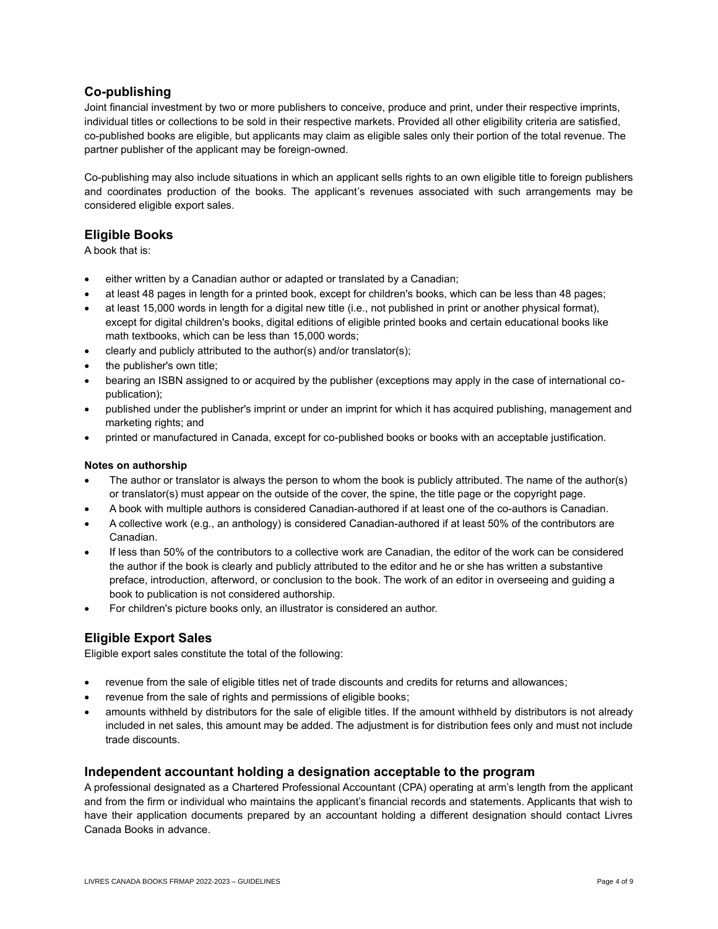## **Co-publishing**

Joint financial investment by two or more publishers to conceive, produce and print, under their respective imprints, individual titles or collections to be sold in their respective markets. Provided all other eligibility criteria are satisfied, co-published books are eligible, but applicants may claim as eligible sales only their portion of the total revenue. The partner publisher of the applicant may be foreign-owned.

Co-publishing may also include situations in which an applicant sells rights to an own eligible title to foreign publishers and coordinates production of the books. The applicant's revenues associated with such arrangements may be considered eligible export sales.

## **Eligible Books**

A book that is:

- either written by a Canadian author or adapted or translated by a Canadian;
- at least 48 pages in length for a printed book, except for children's books, which can be less than 48 pages;
- at least 15,000 words in length for a digital new title (i.e., not published in print or another physical format), except for digital children's books, digital editions of eligible printed books and certain educational books like math textbooks, which can be less than 15,000 words;
- clearly and publicly attributed to the author(s) and/or translator(s);
- the publisher's own title:
- bearing an ISBN assigned to or acquired by the publisher (exceptions may apply in the case of international copublication);
- published under the publisher's imprint or under an imprint for which it has acquired publishing, management and marketing rights; and
- printed or manufactured in Canada, except for co-published books or books with an acceptable justification.

#### **Notes on authorship**

- The author or translator is always the person to whom the book is publicly attributed. The name of the author(s) or translator(s) must appear on the outside of the cover, the spine, the title page or the copyright page.
- A book with multiple authors is considered Canadian-authored if at least one of the co-authors is Canadian.
- A collective work (e.g., an anthology) is considered Canadian-authored if at least 50% of the contributors are Canadian.
- If less than 50% of the contributors to a collective work are Canadian, the editor of the work can be considered the author if the book is clearly and publicly attributed to the editor and he or she has written a substantive preface, introduction, afterword, or conclusion to the book. The work of an editor in overseeing and guiding a book to publication is not considered authorship.
- For children's picture books only, an illustrator is considered an author.

## **Eligible Export Sales**

Eligible export sales constitute the total of the following:

- revenue from the sale of eligible titles net of trade discounts and credits for returns and allowances;
- revenue from the sale of rights and permissions of eligible books;
- amounts withheld by distributors for the sale of eligible titles. If the amount withheld by distributors is not already included in net sales, this amount may be added. The adjustment is for distribution fees only and must not include trade discounts.

#### **Independent accountant holding a designation acceptable to the program**

A professional designated as a Chartered Professional Accountant (CPA) operating at arm's length from the applicant and from the firm or individual who maintains the applicant's financial records and statements. Applicants that wish to have their application documents prepared by an accountant holding a different designation should contact Livres Canada Books in advance.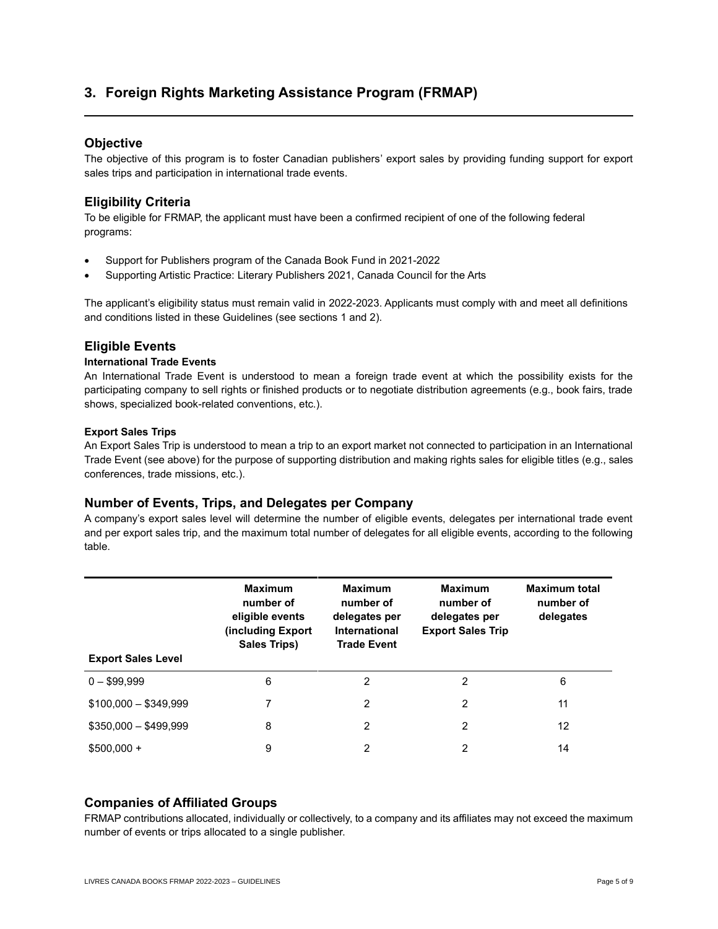## **3. Foreign Rights Marketing Assistance Program (FRMAP)**

## **Objective**

The objective of this program is to foster Canadian publishers' export sales by providing funding support for export sales trips and participation in international trade events.

## **Eligibility Criteria**

To be eligible for FRMAP, the applicant must have been a confirmed recipient of one of the following federal programs:

- Support for Publishers program of the Canada Book Fund in 2021-2022
- Supporting Artistic Practice: Literary Publishers 2021, Canada Council for the Arts

The applicant's eligibility status must remain valid in 2022-2023. Applicants must comply with and meet all definitions and conditions listed in these Guidelines (see sections 1 and 2).

## **Eligible Events**

#### **International Trade Events**

An International Trade Event is understood to mean a foreign trade event at which the possibility exists for the participating company to sell rights or finished products or to negotiate distribution agreements (e.g., book fairs, trade shows, specialized book-related conventions, etc.).

#### **Export Sales Trips**

An Export Sales Trip is understood to mean a trip to an export market not connected to participation in an International Trade Event (see above) for the purpose of supporting distribution and making rights sales for eligible titles (e.g., sales conferences, trade missions, etc.).

#### **Number of Events, Trips, and Delegates per Company**

A company's export sales level will determine the number of eligible events, delegates per international trade event and per export sales trip, and the maximum total number of delegates for all eligible events, according to the following table.

| <b>Export Sales Level</b> | <b>Maximum</b><br>number of<br>eligible events<br>(including Export<br><b>Sales Trips)</b> | <b>Maximum</b><br>number of<br>delegates per<br>International<br><b>Trade Event</b> | <b>Maximum</b><br>number of<br>delegates per<br><b>Export Sales Trip</b> | <b>Maximum total</b><br>number of<br>delegates |
|---------------------------|--------------------------------------------------------------------------------------------|-------------------------------------------------------------------------------------|--------------------------------------------------------------------------|------------------------------------------------|
| $0 - $99.999$             | 6                                                                                          | 2                                                                                   | 2                                                                        | 6                                              |
| $$100,000 - $349,999$     | 7                                                                                          | 2                                                                                   | 2                                                                        | 11                                             |
| $$350,000 - $499,999$     | 8                                                                                          | 2                                                                                   | 2                                                                        | 12                                             |
| $$500,000 +$              | 9                                                                                          | 2                                                                                   | 2                                                                        | 14                                             |

## **Companies of Affiliated Groups**

FRMAP contributions allocated, individually or collectively, to a company and its affiliates may not exceed the maximum number of events or trips allocated to a single publisher.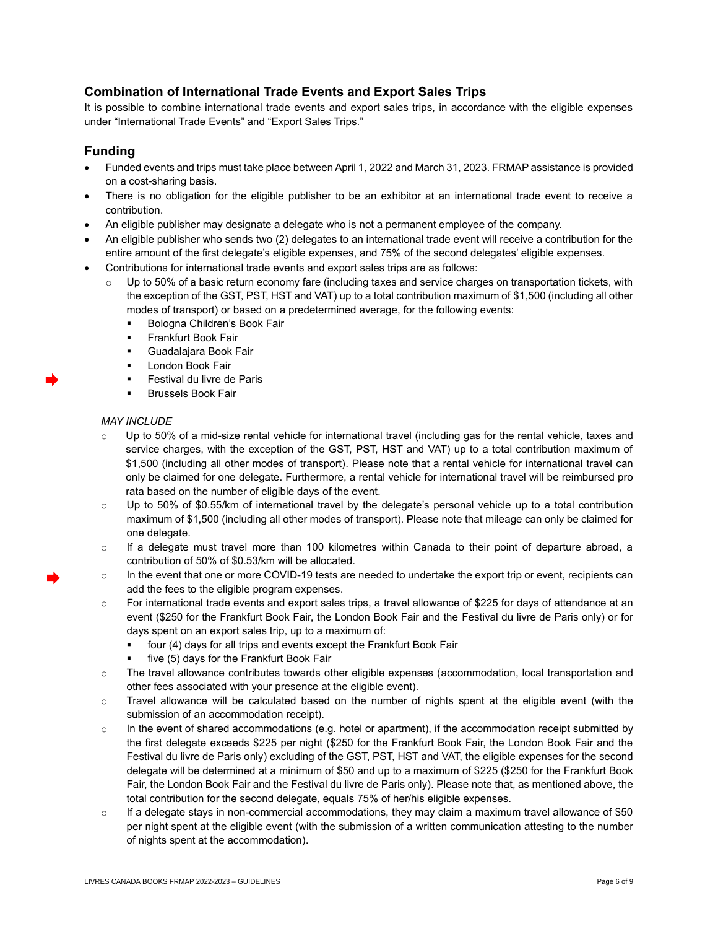## **Combination of International Trade Events and Export Sales Trips**

It is possible to combine international trade events and export sales trips, in accordance with the eligible expenses under "International Trade Events" and "Export Sales Trips."

### **Funding**

- Funded events and trips must take place between April 1, 2022 and March 31, 2023. FRMAP assistance is provided on a cost-sharing basis.
- There is no obligation for the eligible publisher to be an exhibitor at an international trade event to receive a contribution.
- An eligible publisher may designate a delegate who is not a permanent employee of the company.
- An eligible publisher who sends two (2) delegates to an international trade event will receive a contribution for the entire amount of the first delegate's eligible expenses, and 75% of the second delegates' eligible expenses.
- Contributions for international trade events and export sales trips are as follows:
	- $\circ$  Up to 50% of a basic return economy fare (including taxes and service charges on transportation tickets, with the exception of the GST, PST, HST and VAT) up to a total contribution maximum of \$1,500 (including all other modes of transport) or based on a predetermined average, for the following events:
		- Bologna Children's Book Fair
		- **Frankfurt Book Fair**
		- Guadalajara Book Fair
		- **London Book Fair**
		- **E** Festival du livre de Paris
		- **Brussels Book Fair**

#### *MAY INCLUDE*

- $\circ$  Up to 50% of a mid-size rental vehicle for international travel (including gas for the rental vehicle, taxes and service charges, with the exception of the GST, PST, HST and VAT) up to a total contribution maximum of \$1,500 (including all other modes of transport). Please note that a rental vehicle for international travel can only be claimed for one delegate. Furthermore, a rental vehicle for international travel will be reimbursed pro rata based on the number of eligible days of the event.
- o Up to 50% of \$0.55/km of international travel by the delegate's personal vehicle up to a total contribution maximum of \$1,500 (including all other modes of transport). Please note that mileage can only be claimed for one delegate.
- o If a delegate must travel more than 100 kilometres within Canada to their point of departure abroad, a contribution of 50% of \$0.53/km will be allocated.
- o In the event that one or more COVID-19 tests are needed to undertake the export trip or event, recipients can add the fees to the eligible program expenses.
- o For international trade events and export sales trips, a travel allowance of \$225 for days of attendance at an event (\$250 for the Frankfurt Book Fair, the London Book Fair and the Festival du livre de Paris only) or for days spent on an export sales trip, up to a maximum of:
	- four (4) days for all trips and events except the Frankfurt Book Fair
	- five (5) days for the Frankfurt Book Fair
- o The travel allowance contributes towards other eligible expenses (accommodation, local transportation and other fees associated with your presence at the eligible event).
- $\circ$  Travel allowance will be calculated based on the number of nights spent at the eligible event (with the submission of an accommodation receipt).
- o In the event of shared accommodations (e.g. hotel or apartment), if the accommodation receipt submitted by the first delegate exceeds \$225 per night (\$250 for the Frankfurt Book Fair, the London Book Fair and the Festival du livre de Paris only) excluding of the GST, PST, HST and VAT, the eligible expenses for the second delegate will be determined at a minimum of \$50 and up to a maximum of \$225 (\$250 for the Frankfurt Book Fair, the London Book Fair and the Festival du livre de Paris only). Please note that, as mentioned above, the total contribution for the second delegate, equals 75% of her/his eligible expenses.
- o If a delegate stays in non-commercial accommodations, they may claim a maximum travel allowance of \$50 per night spent at the eligible event (with the submission of a written communication attesting to the number of nights spent at the accommodation).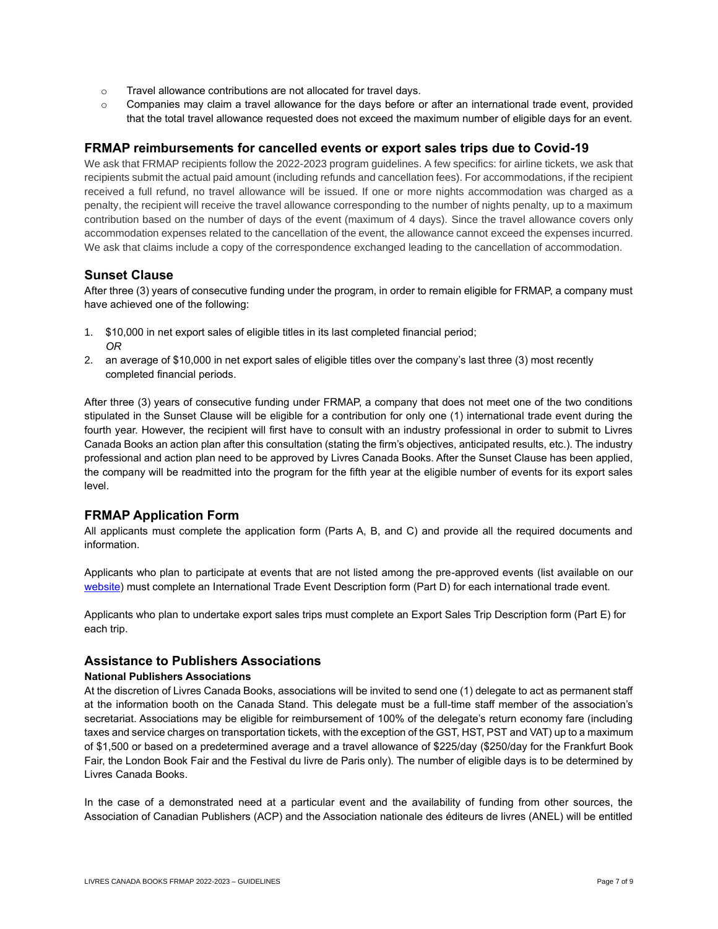- o Travel allowance contributions are not allocated for travel days.
- $\circ$  Companies may claim a travel allowance for the days before or after an international trade event, provided that the total travel allowance requested does not exceed the maximum number of eligible days for an event.

## **FRMAP reimbursements for cancelled events or export sales trips due to Covid-19**

We ask that FRMAP recipients follow the 2022-2023 program guidelines. A few specifics: for airline tickets, we ask that recipients submit the actual paid amount (including refunds and cancellation fees). For accommodations, if the recipient received a full refund, no travel allowance will be issued. If one or more nights accommodation was charged as a penalty, the recipient will receive the travel allowance corresponding to the number of nights penalty, up to a maximum contribution based on the number of days of the event (maximum of 4 days). Since the travel allowance covers only accommodation expenses related to the cancellation of the event, the allowance cannot exceed the expenses incurred. We ask that claims include a copy of the correspondence exchanged leading to the cancellation of accommodation.

### **Sunset Clause**

After three (3) years of consecutive funding under the program, in order to remain eligible for FRMAP, a company must have achieved one of the following:

- 1. \$10,000 in net export sales of eligible titles in its last completed financial period; *OR*
- 2. an average of \$10,000 in net export sales of eligible titles over the company's last three (3) most recently completed financial periods.

After three (3) years of consecutive funding under FRMAP, a company that does not meet one of the two conditions stipulated in the Sunset Clause will be eligible for a contribution for only one (1) international trade event during the fourth year. However, the recipient will first have to consult with an industry professional in order to submit to Livres Canada Books an action plan after this consultation (stating the firm's objectives, anticipated results, etc.). The industry professional and action plan need to be approved by Livres Canada Books. After the Sunset Clause has been applied, the company will be readmitted into the program for the fifth year at the eligible number of events for its export sales level.

## **FRMAP Application Form**

All applicants must complete the application form (Parts A, B, and C) and provide all the required documents and information.

Applicants who plan to participate at events that are not listed among the pre-approved events (list available on our [website\)](https://www.livrescanadabooks.com/Funding/Foreign-Rights-Marketing-Assistance-Program-FRMAP) must complete an International Trade Event Description form (Part D) for each international trade event.

Applicants who plan to undertake export sales trips must complete an Export Sales Trip Description form (Part E) for each trip.

#### **Assistance to Publishers Associations**

#### **National Publishers Associations**

At the discretion of Livres Canada Books, associations will be invited to send one (1) delegate to act as permanent staff at the information booth on the Canada Stand. This delegate must be a full-time staff member of the association's secretariat. Associations may be eligible for reimbursement of 100% of the delegate's return economy fare (including taxes and service charges on transportation tickets, with the exception of the GST, HST, PST and VAT) up to a maximum of \$1,500 or based on a predetermined average and a travel allowance of \$225/day (\$250/day for the Frankfurt Book Fair, the London Book Fair and the Festival du livre de Paris only). The number of eligible days is to be determined by Livres Canada Books.

In the case of a demonstrated need at a particular event and the availability of funding from other sources, the Association of Canadian Publishers (ACP) and the Association nationale des éditeurs de livres (ANEL) will be entitled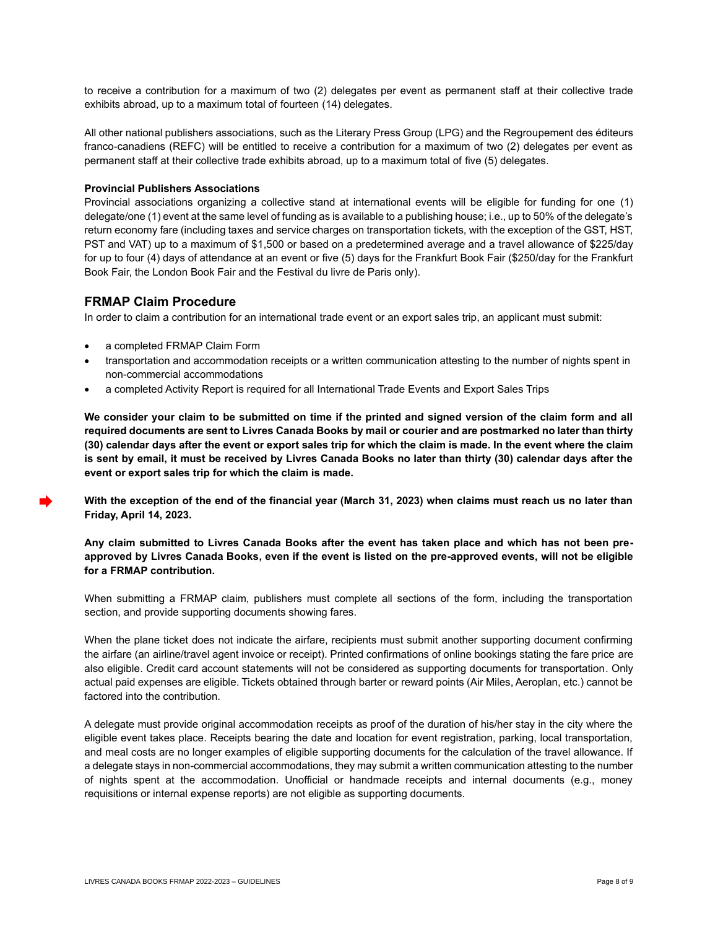to receive a contribution for a maximum of two (2) delegates per event as permanent staff at their collective trade exhibits abroad, up to a maximum total of fourteen (14) delegates.

All other national publishers associations, such as the Literary Press Group (LPG) and the Regroupement des éditeurs franco-canadiens (REFC) will be entitled to receive a contribution for a maximum of two (2) delegates per event as permanent staff at their collective trade exhibits abroad, up to a maximum total of five (5) delegates.

#### **Provincial Publishers Associations**

Provincial associations organizing a collective stand at international events will be eligible for funding for one (1) delegate/one (1) event at the same level of funding as is available to a publishing house; i.e., up to 50% of the delegate's return economy fare (including taxes and service charges on transportation tickets, with the exception of the GST, HST, PST and VAT) up to a maximum of \$1,500 or based on a predetermined average and a travel allowance of \$225/day for up to four (4) days of attendance at an event or five (5) days for the Frankfurt Book Fair (\$250/day for the Frankfurt Book Fair, the London Book Fair and the Festival du livre de Paris only).

### **FRMAP Claim Procedure**

In order to claim a contribution for an international trade event or an export sales trip, an applicant must submit:

- a completed FRMAP Claim Form
- transportation and accommodation receipts or a written communication attesting to the number of nights spent in non-commercial accommodations
- a completed Activity Report is required for all International Trade Events and Export Sales Trips

**We consider your claim to be submitted on time if the printed and signed version of the claim form and all required documents are sent to Livres Canada Books by mail or courier and are postmarked no later than thirty (30) calendar days after the event or export sales trip for which the claim is made. In the event where the claim is sent by email, it must be received by Livres Canada Books no later than thirty (30) calendar days after the event or export sales trip for which the claim is made.**

**With the exception of the end of the financial year (March 31, 2023) when claims must reach us no later than Friday, April 14, 2023.**

#### **Any claim submitted to Livres Canada Books after the event has taken place and which has not been preapproved by Livres Canada Books, even if the event is listed on the pre-approved events, will not be eligible for a FRMAP contribution.**

When submitting a FRMAP claim, publishers must complete all sections of the form, including the transportation section, and provide supporting documents showing fares.

When the plane ticket does not indicate the airfare, recipients must submit another supporting document confirming the airfare (an airline/travel agent invoice or receipt). Printed confirmations of online bookings stating the fare price are also eligible. Credit card account statements will not be considered as supporting documents for transportation. Only actual paid expenses are eligible. Tickets obtained through barter or reward points (Air Miles, Aeroplan, etc.) cannot be factored into the contribution.

A delegate must provide original accommodation receipts as proof of the duration of his/her stay in the city where the eligible event takes place. Receipts bearing the date and location for event registration, parking, local transportation, and meal costs are no longer examples of eligible supporting documents for the calculation of the travel allowance. If a delegate stays in non-commercial accommodations, they may submit a written communication attesting to the number of nights spent at the accommodation. Unofficial or handmade receipts and internal documents (e.g., money requisitions or internal expense reports) are not eligible as supporting documents.